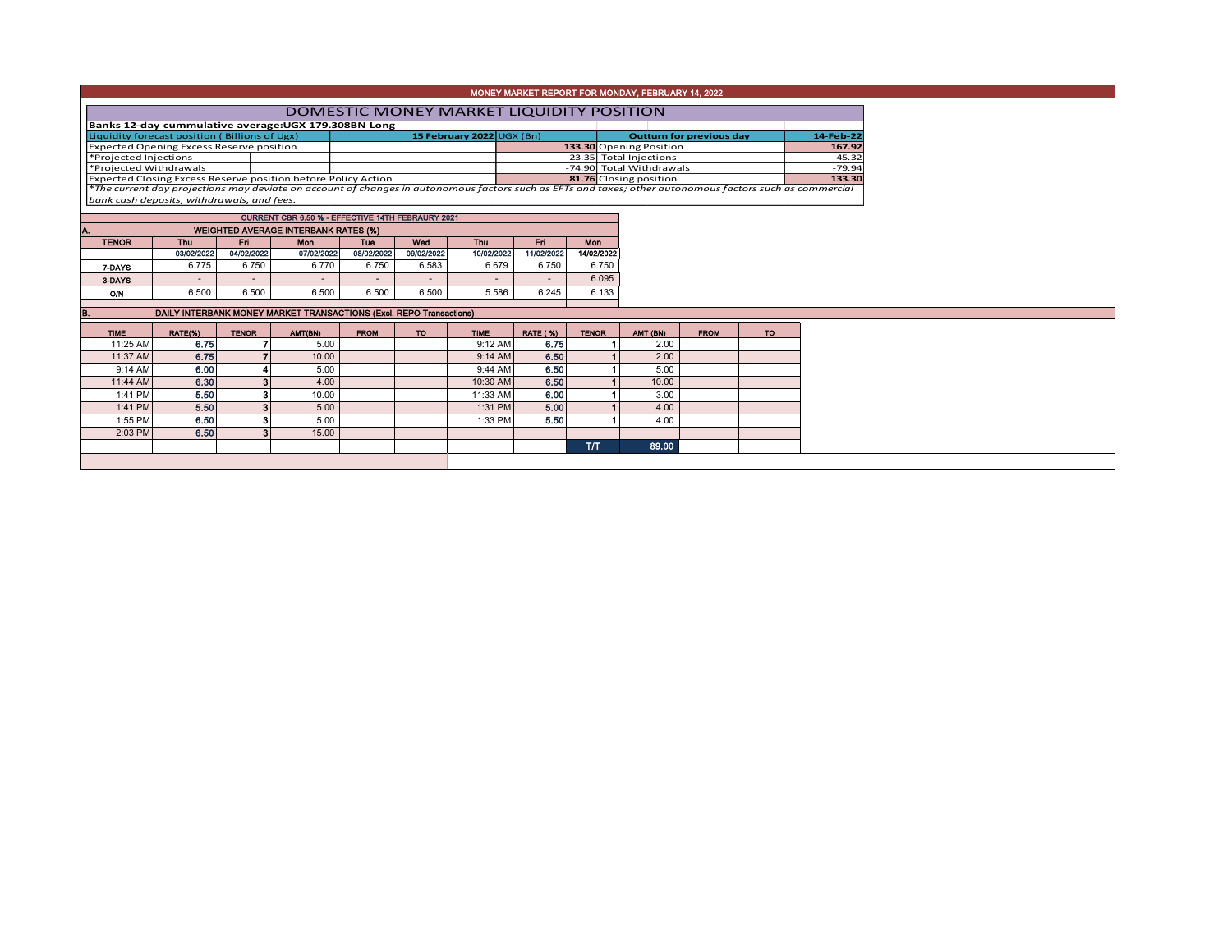| MONEY MARKET REPORT FOR MONDAY, FEBRUARY 14, 2022                                                                                                                                                                                                   |                                                                                                  |              |                                                                     |                        |                          |                          |                 |              |          |             |           |  |  |  |  |
|-----------------------------------------------------------------------------------------------------------------------------------------------------------------------------------------------------------------------------------------------------|--------------------------------------------------------------------------------------------------|--------------|---------------------------------------------------------------------|------------------------|--------------------------|--------------------------|-----------------|--------------|----------|-------------|-----------|--|--|--|--|
| <b>DOMESTIC MONEY MARKET LIQUIDITY POSITION</b>                                                                                                                                                                                                     |                                                                                                  |              |                                                                     |                        |                          |                          |                 |              |          |             |           |  |  |  |  |
|                                                                                                                                                                                                                                                     | Banks 12-day cummulative average: UGX 179.308BN Long                                             |              |                                                                     |                        |                          |                          |                 |              |          |             |           |  |  |  |  |
| 15 February 2022 UGX (Bn)<br>Liquidity forecast position (Billions of Ugx)<br><b>Outturn for previous day</b><br>14-Feb-22                                                                                                                          |                                                                                                  |              |                                                                     |                        |                          |                          |                 |              |          |             |           |  |  |  |  |
| <b>Expected Opening Excess Reserve position</b><br>133.30 Opening Position<br>167.92                                                                                                                                                                |                                                                                                  |              |                                                                     |                        |                          |                          |                 |              |          |             |           |  |  |  |  |
| *Projected Injections                                                                                                                                                                                                                               |                                                                                                  |              |                                                                     | 23.35 Total Injections |                          |                          | 45.32           |              |          |             |           |  |  |  |  |
| *Projected Withdrawals<br>-74.90 Total Withdrawals<br>$-79.94$<br>133.30                                                                                                                                                                            |                                                                                                  |              |                                                                     |                        |                          |                          |                 |              |          |             |           |  |  |  |  |
| Expected Closing Excess Reserve position before Policy Action<br>81.76 Closing position<br>*The current day projections may deviate on account of changes in autonomous factors such as EFTs and taxes; other autonomous factors such as commercial |                                                                                                  |              |                                                                     |                        |                          |                          |                 |              |          |             |           |  |  |  |  |
| bank cash deposits, withdrawals, and fees.                                                                                                                                                                                                          |                                                                                                  |              |                                                                     |                        |                          |                          |                 |              |          |             |           |  |  |  |  |
|                                                                                                                                                                                                                                                     |                                                                                                  |              |                                                                     |                        |                          |                          |                 |              |          |             |           |  |  |  |  |
|                                                                                                                                                                                                                                                     | CURRENT CBR 6.50 % - EFFECTIVE 14TH FEBRAURY 2021<br><b>WEIGHTED AVERAGE INTERBANK RATES (%)</b> |              |                                                                     |                        |                          |                          |                 |              |          |             |           |  |  |  |  |
| Fri.<br><b>Thu</b><br>Fri I<br>Wod<br>Thu<br><b>TENOR</b><br><b>Mon</b><br><b>Mon</b><br><b>Tue</b>                                                                                                                                                 |                                                                                                  |              |                                                                     |                        |                          |                          |                 |              |          |             |           |  |  |  |  |
|                                                                                                                                                                                                                                                     | 03/02/2022                                                                                       | 04/02/2022   | 07/02/2022                                                          | 08/02/2022             | 09/02/2022               | 10/02/2022               | 11/02/2022      | 14/02/2022   |          |             |           |  |  |  |  |
| 7-DAYS                                                                                                                                                                                                                                              | 6.775                                                                                            | 6.750        | 6.770                                                               | 6.750                  | 6.583                    | 6.679                    | 6.750           | 6.750        |          |             |           |  |  |  |  |
| 3-DAYS                                                                                                                                                                                                                                              |                                                                                                  |              |                                                                     |                        | $\overline{\phantom{a}}$ | $\overline{\phantom{a}}$ |                 | 6.095        |          |             |           |  |  |  |  |
| O/N                                                                                                                                                                                                                                                 | 6.500                                                                                            | 6.500        | 6.500                                                               | 6.500                  | 6.500                    | 5.586                    | 6.245           | 6.133        |          |             |           |  |  |  |  |
|                                                                                                                                                                                                                                                     |                                                                                                  |              |                                                                     |                        |                          |                          |                 |              |          |             |           |  |  |  |  |
|                                                                                                                                                                                                                                                     |                                                                                                  |              | DAILY INTERBANK MONEY MARKET TRANSACTIONS (Excl. REPO Transactions) |                        |                          |                          |                 |              |          |             |           |  |  |  |  |
| <b>TIME</b>                                                                                                                                                                                                                                         | RATE(%)                                                                                          | <b>TENOR</b> | AMT(BN)                                                             | <b>FROM</b>            | TO.                      | <b>TIME</b>              | <b>RATE (%)</b> | <b>TENOR</b> | AMT (BN) | <b>FROM</b> | <b>TO</b> |  |  |  |  |
| 11:25 AM                                                                                                                                                                                                                                            | 6.75                                                                                             |              | 5.00                                                                |                        |                          | 9:12 AM                  | 6.75            |              | 2.00     |             |           |  |  |  |  |
| 11:37 AM                                                                                                                                                                                                                                            | 6.75                                                                                             |              | 10.00                                                               |                        |                          | 9:14 AM                  | 6.50            |              | 2.00     |             |           |  |  |  |  |
| 9:14 AM                                                                                                                                                                                                                                             | 6.00                                                                                             |              | 5.00                                                                |                        |                          | 9:44 AM                  | 6.50            |              | 5.00     |             |           |  |  |  |  |
| 11:44 AM                                                                                                                                                                                                                                            | 6.30                                                                                             | 3            | 4.00                                                                |                        |                          | 10:30 AM                 | 6.50            |              | 10.00    |             |           |  |  |  |  |
| 1:41 PM                                                                                                                                                                                                                                             | 5.50                                                                                             | 3            | 10.00                                                               |                        |                          | 11:33 AM                 | 6.00            |              | 3.00     |             |           |  |  |  |  |
| 1:41 PM                                                                                                                                                                                                                                             | 5.50                                                                                             | 3            | 5.00                                                                |                        |                          | 1:31 PM                  | 5.00            |              | 4.00     |             |           |  |  |  |  |
| 1:55 PM                                                                                                                                                                                                                                             | 6.50                                                                                             | 3            | 5.00                                                                |                        |                          | 1:33 PM                  | 5.50            |              | 4.00     |             |           |  |  |  |  |
| 2:03 PM                                                                                                                                                                                                                                             | 6.50                                                                                             |              | 15.00                                                               |                        |                          |                          |                 |              |          |             |           |  |  |  |  |
|                                                                                                                                                                                                                                                     |                                                                                                  |              |                                                                     |                        |                          |                          |                 | <b>T/T</b>   | 89.00    |             |           |  |  |  |  |
|                                                                                                                                                                                                                                                     |                                                                                                  |              |                                                                     |                        |                          |                          |                 |              |          |             |           |  |  |  |  |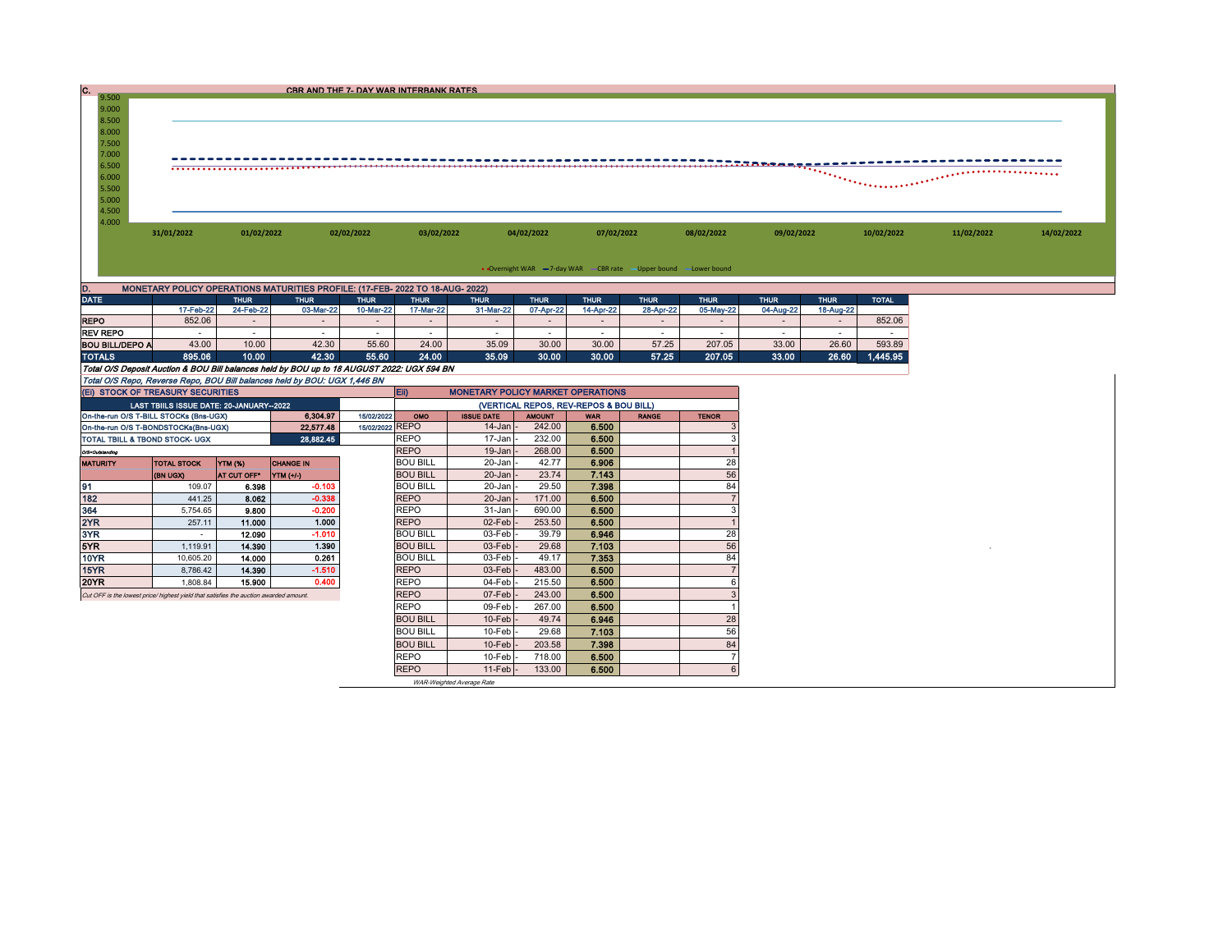| 9.500 |            |            | CBR AND THE 7- DAY WAR INTERBANK RATES |            |            |            |            |            |            |            |            |
|-------|------------|------------|----------------------------------------|------------|------------|------------|------------|------------|------------|------------|------------|
|       |            |            |                                        |            |            |            |            |            |            |            |            |
| 9.000 |            |            |                                        |            |            |            |            |            |            |            |            |
| 8.500 |            |            |                                        |            |            |            |            |            |            |            |            |
| 8.000 |            |            |                                        |            |            |            |            |            |            |            |            |
| 7.500 |            |            |                                        |            |            |            |            |            |            |            |            |
| 7.000 |            |            |                                        |            |            |            |            |            |            |            |            |
| 6.500 |            |            |                                        |            |            |            |            |            |            |            |            |
| 6.000 |            |            |                                        |            |            |            |            |            |            |            |            |
| 5.500 |            |            |                                        |            |            |            |            |            |            |            |            |
| 5.000 |            |            |                                        |            |            |            |            |            |            |            |            |
| 4.500 |            |            |                                        |            |            |            |            |            |            |            |            |
| 4.000 |            |            |                                        |            |            |            |            |            |            |            |            |
|       | 31/01/2022 | 01/02/2022 | 02/02/2022                             | 03/02/2022 | 04/02/2022 | 07/02/2022 | 08/02/2022 | 09/02/2022 | 10/02/2022 | 11/02/2022 | 14/02/2022 |
|       |            |            |                                        |            |            |            |            |            |            |            |            |
|       |            |            |                                        |            |            |            |            |            |            |            |            |

• Overnight WAR -7-day WAR - CBR rate - Upper bound - Lower bound

| D.<br>MONETARY POLICY OPERATIONS MATURITIES PROFILE: (17-FEB- 2022 TO 18-AUG- 2022)        |           |             |             |             |             |                                          |             |             |             |             |             |                |              |  |
|--------------------------------------------------------------------------------------------|-----------|-------------|-------------|-------------|-------------|------------------------------------------|-------------|-------------|-------------|-------------|-------------|----------------|--------------|--|
| <b>DATE</b>                                                                                |           | <b>THUR</b> | <b>THUR</b> | <b>THUR</b> | <b>THUR</b> | <b>THUR</b>                              | <b>THUR</b> | <b>THUR</b> | <b>THUR</b> | <b>THUR</b> | <b>THUR</b> | <b>THUR</b>    | <b>TOTAL</b> |  |
|                                                                                            | 17-Feb-22 | 24-Feb-22   | 03-Mar-22   | 10-Mar-22   | 17-Mar-22   | 31-Mar-22                                | 07-Apr-22   | 14-Apr-22   | 28-Apr-22   | 05-May-22   | 04-Aug-22   | 18-Aug-22      |              |  |
| <b>REPO</b>                                                                                | 852.06    |             |             |             |             |                                          | $\sim$      |             |             |             |             | $\blacksquare$ | 852.06       |  |
| <b>REV REPO</b>                                                                            |           |             |             |             |             |                                          | -           |             |             |             |             |                |              |  |
| <b>BOU BILL/DEPO A</b>                                                                     | 43.00     | 10.00       | 42.30       | 55.60       | 24.00       | 35.09                                    | 30.00       | 30.00       | 57.25       | 207.05      | 33.00       | 26.60          | 593.89       |  |
| <b>TOTALS</b>                                                                              | 895.06    | 10.00       | 42.30       | 55.60       | 24.00       | 35.09                                    | 30.00       | 30.00       | 57.25       | 207.05      | 33.00       | 26.60          | 1,445.95     |  |
| Total O/S Deposit Auction & BOU Bill balances held by BOU up to 18 AUGUST 2022: UGX 594 BN |           |             |             |             |             |                                          |             |             |             |             |             |                |              |  |
| Total O/S Repo, Reverse Repo, BOU Bill balances held by BOU: UGX 1,446 BN                  |           |             |             |             |             |                                          |             |             |             |             |             |                |              |  |
| (EI) STOCK OF TREASURY SECURITIES                                                          |           |             |             |             | <b>E</b>    | <b>MONETARY POLICY MARKET OPERATIONS</b> |             |             |             |             |             |                |              |  |

| (EI) STOCK OF TREASURY SECURITIES                                                    |                                         |                    |                  |           |            | <b>ED</b><br><b>MONETARY POLICY MARKET OPERATIONS</b> |                     |               |            |              |              |  |
|--------------------------------------------------------------------------------------|-----------------------------------------|--------------------|------------------|-----------|------------|-------------------------------------------------------|---------------------|---------------|------------|--------------|--------------|--|
|                                                                                      | LAST TBIILS ISSUE DATE: 20-JANUARY-2022 |                    |                  |           |            | (VERTICAL REPOS, REV-REPOS & BOU BILL)                |                     |               |            |              |              |  |
| On-the-run O/S T-BILL STOCKs (Bns-UGX)                                               |                                         |                    |                  | 6.304.97  | 15/02/2022 | OMO                                                   | <b>ISSUE DATE</b>   | <b>AMOUNT</b> | <b>WAR</b> | <b>RANGE</b> | <b>TENOR</b> |  |
| 15/02/2022 REPO<br>On-the-run O/S T-BONDSTOCKs(Bns-UGX)<br>22.577.48                 |                                         |                    |                  |           |            |                                                       | $14$ -Jan           | 242.00        | 6.500      |              |              |  |
| TOTAL TBILL & TBOND STOCK- UGX                                                       |                                         |                    |                  | 28,882.45 |            | <b>REPO</b>                                           | 17-Jan              | 232.00        | 6.500      |              |              |  |
| O/S=Outstanding                                                                      |                                         |                    |                  |           |            | <b>REPO</b>                                           | $19$ -Jan           | 268.00        | 6.500      |              |              |  |
| <b>MATURITY</b>                                                                      | <b>TOTAL STOCK</b>                      | <b>YTM (%)</b>     | <b>CHANGE IN</b> |           |            | <b>BOU BILL</b>                                       | 20-Jan              | 42.77         | 6.906      |              | 28           |  |
|                                                                                      | (BN UGX)                                | <b>AT CUT OFF*</b> | YIM (+/-)        |           |            | <b>BOU BILL</b>                                       | $20$ -Jan           | 23.74         | 7.143      |              | 56           |  |
| 91                                                                                   | 109.07                                  | 6.398              |                  | $-0.103$  |            | <b>BOU BILL</b>                                       | $20 - Jan$          | 29.50         | 7.398      |              | 84           |  |
| 182                                                                                  | 441.25                                  | 8.062              |                  | $-0.338$  |            | <b>REPO</b>                                           | $20$ -Jan           | 171.00        | 6.500      |              |              |  |
| 364                                                                                  | 5.754.65                                | 9.800              |                  | $-0.200$  |            | <b>REPO</b>                                           | $31$ -Jan $\vert$ - | 690.00        | 6.500      |              |              |  |
| 2YR                                                                                  | 257.11                                  | 11.000             |                  | 1.000     |            | <b>REPO</b>                                           | $02$ -Feb           | 253.50        | 6.500      |              |              |  |
| 3YR                                                                                  |                                         | 12.090             |                  | $-1.010$  |            | <b>BOU BILL</b>                                       | $03$ -Feb           | 39.79         | 6.946      |              | 28           |  |
| 5YR.                                                                                 | 1.119.91                                | 14.390             |                  | 1.390     |            | <b>BOU BILL</b>                                       | $03$ -Feb           | 29.68         | 7.103      |              | 56           |  |
| 10YR                                                                                 | 10,605.20                               | 14.000             |                  | 0.261     |            | <b>BOU BILL</b>                                       | $03$ -Feb           | 49.17         | 7.353      |              | 84           |  |
| 15YR                                                                                 | 8,786.42                                | 14.390             |                  | $-1.510$  |            | <b>REPO</b>                                           | $03$ -Feb           | 483.00        | 6.500      |              |              |  |
| 20YR                                                                                 | 1,808.84                                | 15,900             |                  | 0.400     |            | <b>REPO</b>                                           | 04-Feb              | 215.50        | 6.500      |              |              |  |
| Cut OFF is the lowest price/highest vield that satisfies the auction awarded amount. |                                         |                    |                  |           |            | <b>REPO</b>                                           | $07$ -Feb           | 243.00        | 6.500      |              |              |  |
|                                                                                      |                                         |                    |                  |           |            | <b>REPO</b>                                           | 09-Febl             | 267.00        | 6.500      |              |              |  |
|                                                                                      |                                         |                    |                  |           |            | <b>BOU BILL</b>                                       | $10$ -Feb           | 49.74         | 6.946      |              | 28           |  |
|                                                                                      |                                         |                    |                  |           |            | <b>BOU BILL</b>                                       | $10$ -Feb           | 29.68         | 7.103      |              | 56           |  |
|                                                                                      |                                         |                    |                  |           |            | <b>BOU BILL</b>                                       | $10$ -Feb           | 203.58        | 7.398      |              | 84           |  |
|                                                                                      |                                         |                    |                  |           |            | <b>REPO</b>                                           | $10-Feb$            | 718.00        | 6.500      |              |              |  |
|                                                                                      |                                         |                    |                  |           |            | <b>REPO</b>                                           | $11-Feb$ -          | 133.00        | 6.500      |              | 6            |  |

WAR-Weighted Average Rate